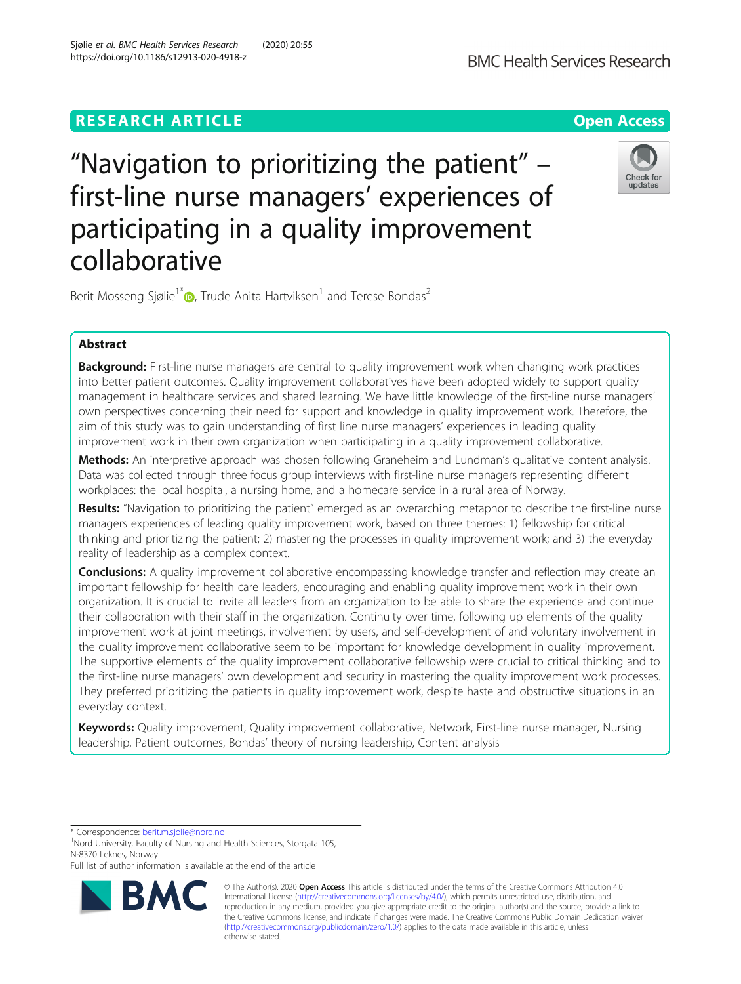https://doi.org/10.1186/s12913-020-4918-z

Sjølie et al. BMC Health Services Research (2020) 20:55

## **RESEARCH ARTICLE Example 2014 12:30 The Contract of Contract ACCESS**



# "Navigation to prioritizing the patient" – first-line nurse managers' experiences of participating in a quality improvement collaborative



Berit Mosseng Sjølie<sup>1\*</sup> $\bullet$ [,](http://orcid.org/0000-0002-8344-4189) Trude Anita Hartviksen<sup>1</sup> and Terese Bondas<sup>2</sup>

## Abstract

Background: First-line nurse managers are central to quality improvement work when changing work practices into better patient outcomes. Quality improvement collaboratives have been adopted widely to support quality management in healthcare services and shared learning. We have little knowledge of the first-line nurse managers' own perspectives concerning their need for support and knowledge in quality improvement work. Therefore, the aim of this study was to gain understanding of first line nurse managers' experiences in leading quality improvement work in their own organization when participating in a quality improvement collaborative.

Methods: An interpretive approach was chosen following Graneheim and Lundman's qualitative content analysis. Data was collected through three focus group interviews with first-line nurse managers representing different workplaces: the local hospital, a nursing home, and a homecare service in a rural area of Norway.

Results: "Navigation to prioritizing the patient" emerged as an overarching metaphor to describe the first-line nurse managers experiences of leading quality improvement work, based on three themes: 1) fellowship for critical thinking and prioritizing the patient; 2) mastering the processes in quality improvement work; and 3) the everyday reality of leadership as a complex context.

**Conclusions:** A quality improvement collaborative encompassing knowledge transfer and reflection may create an important fellowship for health care leaders, encouraging and enabling quality improvement work in their own organization. It is crucial to invite all leaders from an organization to be able to share the experience and continue their collaboration with their staff in the organization. Continuity over time, following up elements of the quality improvement work at joint meetings, involvement by users, and self-development of and voluntary involvement in the quality improvement collaborative seem to be important for knowledge development in quality improvement. The supportive elements of the quality improvement collaborative fellowship were crucial to critical thinking and to the first-line nurse managers' own development and security in mastering the quality improvement work processes. They preferred prioritizing the patients in quality improvement work, despite haste and obstructive situations in an everyday context.

Keywords: Quality improvement, Quality improvement collaborative, Network, First-line nurse manager, Nursing leadership, Patient outcomes, Bondas' theory of nursing leadership, Content analysis

\* Correspondence: [berit.m.sjolie@nord.no](mailto:berit.m.sjolie@nord.no) <sup>1</sup>

<sup>1</sup>Nord University, Faculty of Nursing and Health Sciences, Storgata 105, N-8370 Leknes, Norway

Full list of author information is available at the end of the article



<sup>©</sup> The Author(s). 2020 Open Access This article is distributed under the terms of the Creative Commons Attribution 4.0 International License [\(http://creativecommons.org/licenses/by/4.0/](http://creativecommons.org/licenses/by/4.0/)), which permits unrestricted use, distribution, and reproduction in any medium, provided you give appropriate credit to the original author(s) and the source, provide a link to the Creative Commons license, and indicate if changes were made. The Creative Commons Public Domain Dedication waiver [\(http://creativecommons.org/publicdomain/zero/1.0/](http://creativecommons.org/publicdomain/zero/1.0/)) applies to the data made available in this article, unless otherwise stated.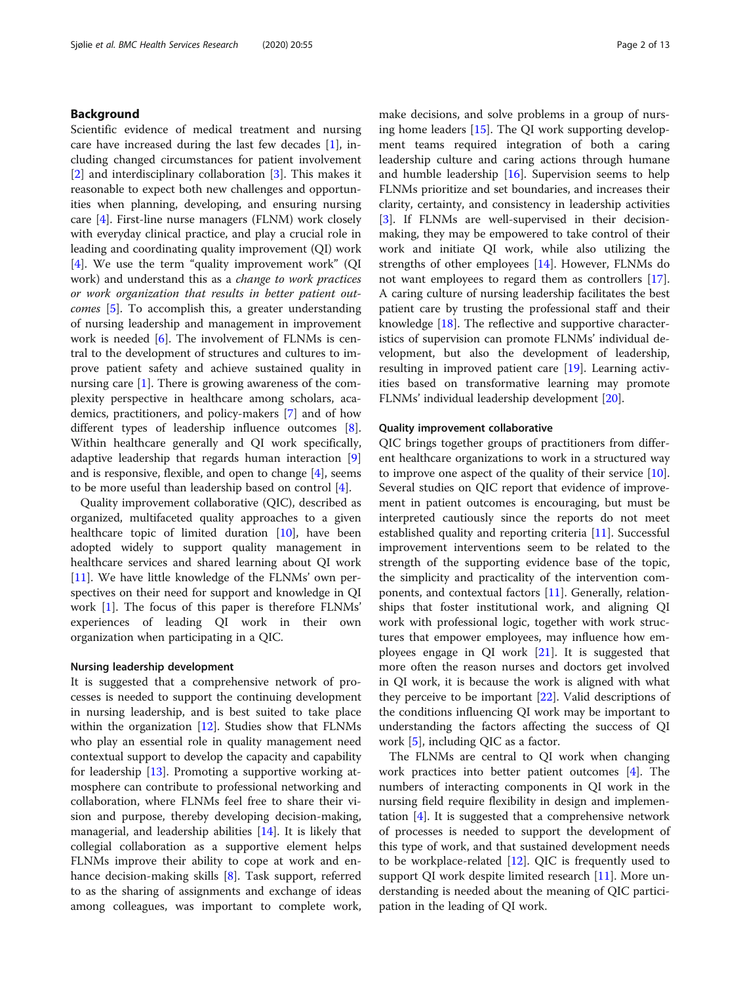## Background

Scientific evidence of medical treatment and nursing care have increased during the last few decades [[1\]](#page-11-0), including changed circumstances for patient involvement [[2\]](#page-11-0) and interdisciplinary collaboration [\[3\]](#page-11-0). This makes it reasonable to expect both new challenges and opportunities when planning, developing, and ensuring nursing care [\[4](#page-11-0)]. First-line nurse managers (FLNM) work closely with everyday clinical practice, and play a crucial role in leading and coordinating quality improvement (QI) work [[4\]](#page-11-0). We use the term "quality improvement work" (QI work) and understand this as a change to work practices or work organization that results in better patient outcomes [\[5](#page-11-0)]. To accomplish this, a greater understanding of nursing leadership and management in improvement work is needed [\[6](#page-11-0)]. The involvement of FLNMs is central to the development of structures and cultures to improve patient safety and achieve sustained quality in nursing care [\[1](#page-11-0)]. There is growing awareness of the complexity perspective in healthcare among scholars, academics, practitioners, and policy-makers [\[7](#page-11-0)] and of how different types of leadership influence outcomes [\[8](#page-11-0)]. Within healthcare generally and QI work specifically, adaptive leadership that regards human interaction [\[9](#page-12-0)] and is responsive, flexible, and open to change [[4\]](#page-11-0), seems to be more useful than leadership based on control [\[4](#page-11-0)].

Quality improvement collaborative (QIC), described as organized, multifaceted quality approaches to a given healthcare topic of limited duration [[10\]](#page-12-0), have been adopted widely to support quality management in healthcare services and shared learning about QI work [[11\]](#page-12-0). We have little knowledge of the FLNMs' own perspectives on their need for support and knowledge in QI work [[1\]](#page-11-0). The focus of this paper is therefore FLNMs' experiences of leading QI work in their own organization when participating in a QIC.

#### Nursing leadership development

It is suggested that a comprehensive network of processes is needed to support the continuing development in nursing leadership, and is best suited to take place within the organization [[12](#page-12-0)]. Studies show that FLNMs who play an essential role in quality management need contextual support to develop the capacity and capability for leadership [[13\]](#page-12-0). Promoting a supportive working atmosphere can contribute to professional networking and collaboration, where FLNMs feel free to share their vision and purpose, thereby developing decision-making, managerial, and leadership abilities [[14\]](#page-12-0). It is likely that collegial collaboration as a supportive element helps FLNMs improve their ability to cope at work and enhance decision-making skills [[8\]](#page-11-0). Task support, referred to as the sharing of assignments and exchange of ideas among colleagues, was important to complete work, make decisions, and solve problems in a group of nursing home leaders [\[15](#page-12-0)]. The QI work supporting development teams required integration of both a caring leadership culture and caring actions through humane and humble leadership [\[16](#page-12-0)]. Supervision seems to help FLNMs prioritize and set boundaries, and increases their clarity, certainty, and consistency in leadership activities [[3\]](#page-11-0). If FLNMs are well-supervised in their decisionmaking, they may be empowered to take control of their work and initiate QI work, while also utilizing the strengths of other employees [\[14](#page-12-0)]. However, FLNMs do not want employees to regard them as controllers [\[17](#page-12-0)]. A caring culture of nursing leadership facilitates the best patient care by trusting the professional staff and their knowledge [[18\]](#page-12-0). The reflective and supportive characteristics of supervision can promote FLNMs' individual development, but also the development of leadership, resulting in improved patient care [\[19](#page-12-0)]. Learning activities based on transformative learning may promote FLNMs' individual leadership development [[20\]](#page-12-0).

## Quality improvement collaborative

QIC brings together groups of practitioners from different healthcare organizations to work in a structured way to improve one aspect of the quality of their service [\[10](#page-12-0)]. Several studies on QIC report that evidence of improvement in patient outcomes is encouraging, but must be interpreted cautiously since the reports do not meet established quality and reporting criteria [\[11](#page-12-0)]. Successful improvement interventions seem to be related to the strength of the supporting evidence base of the topic, the simplicity and practicality of the intervention components, and contextual factors [[11\]](#page-12-0). Generally, relationships that foster institutional work, and aligning QI work with professional logic, together with work structures that empower employees, may influence how employees engage in QI work [[21\]](#page-12-0). It is suggested that more often the reason nurses and doctors get involved in QI work, it is because the work is aligned with what they perceive to be important [\[22](#page-12-0)]. Valid descriptions of the conditions influencing QI work may be important to understanding the factors affecting the success of QI work [\[5](#page-11-0)], including QIC as a factor.

The FLNMs are central to QI work when changing work practices into better patient outcomes [\[4](#page-11-0)]. The numbers of interacting components in QI work in the nursing field require flexibility in design and implementation [\[4](#page-11-0)]. It is suggested that a comprehensive network of processes is needed to support the development of this type of work, and that sustained development needs to be workplace-related [[12\]](#page-12-0). QIC is frequently used to support QI work despite limited research [[11\]](#page-12-0). More understanding is needed about the meaning of QIC participation in the leading of QI work.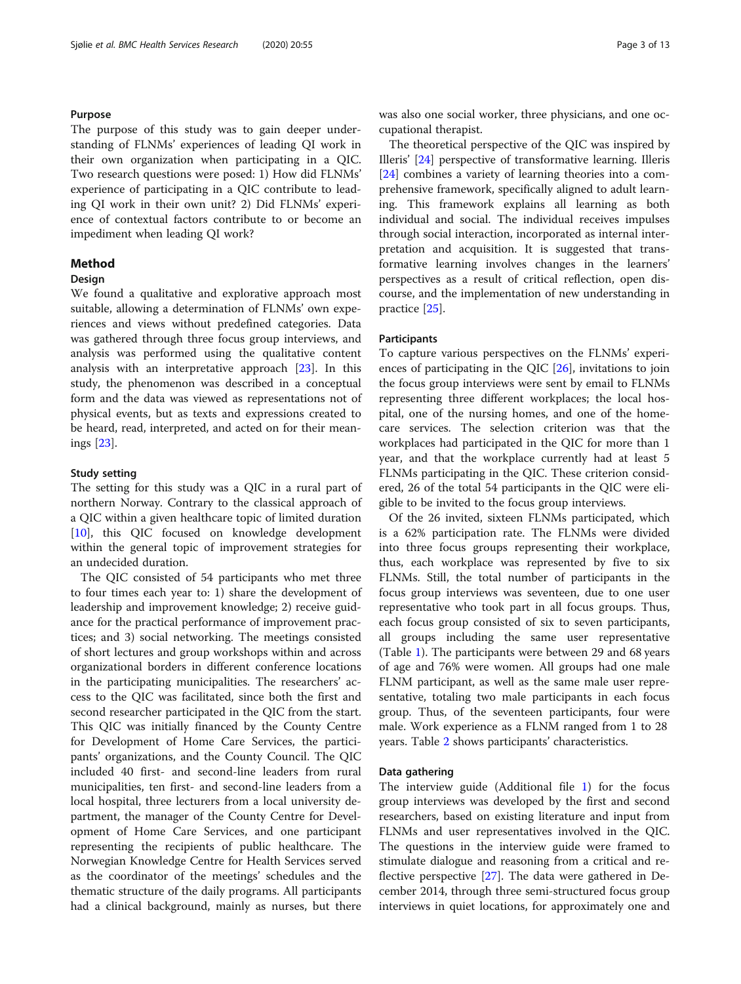### Purpose

The purpose of this study was to gain deeper understanding of FLNMs' experiences of leading QI work in their own organization when participating in a QIC. Two research questions were posed: 1) How did FLNMs' experience of participating in a QIC contribute to leading QI work in their own unit? 2) Did FLNMs' experience of contextual factors contribute to or become an impediment when leading QI work?

## Method

## Design

We found a qualitative and explorative approach most suitable, allowing a determination of FLNMs' own experiences and views without predefined categories. Data was gathered through three focus group interviews, and analysis was performed using the qualitative content analysis with an interpretative approach [\[23](#page-12-0)]. In this study, the phenomenon was described in a conceptual form and the data was viewed as representations not of physical events, but as texts and expressions created to be heard, read, interpreted, and acted on for their meanings [\[23](#page-12-0)].

## Study setting

The setting for this study was a QIC in a rural part of northern Norway. Contrary to the classical approach of a QIC within a given healthcare topic of limited duration [[10\]](#page-12-0), this QIC focused on knowledge development within the general topic of improvement strategies for an undecided duration.

The QIC consisted of 54 participants who met three to four times each year to: 1) share the development of leadership and improvement knowledge; 2) receive guidance for the practical performance of improvement practices; and 3) social networking. The meetings consisted of short lectures and group workshops within and across organizational borders in different conference locations in the participating municipalities. The researchers' access to the QIC was facilitated, since both the first and second researcher participated in the QIC from the start. This QIC was initially financed by the County Centre for Development of Home Care Services, the participants' organizations, and the County Council. The QIC included 40 first- and second-line leaders from rural municipalities, ten first- and second-line leaders from a local hospital, three lecturers from a local university department, the manager of the County Centre for Development of Home Care Services, and one participant representing the recipients of public healthcare. The Norwegian Knowledge Centre for Health Services served as the coordinator of the meetings' schedules and the thematic structure of the daily programs. All participants had a clinical background, mainly as nurses, but there was also one social worker, three physicians, and one occupational therapist.

The theoretical perspective of the QIC was inspired by Illeris' [\[24](#page-12-0)] perspective of transformative learning. Illeris [[24\]](#page-12-0) combines a variety of learning theories into a comprehensive framework, specifically aligned to adult learning. This framework explains all learning as both individual and social. The individual receives impulses through social interaction, incorporated as internal interpretation and acquisition. It is suggested that transformative learning involves changes in the learners' perspectives as a result of critical reflection, open discourse, and the implementation of new understanding in practice [\[25\]](#page-12-0).

#### **Participants**

To capture various perspectives on the FLNMs' experiences of participating in the QIC [\[26](#page-12-0)], invitations to join the focus group interviews were sent by email to FLNMs representing three different workplaces; the local hospital, one of the nursing homes, and one of the homecare services. The selection criterion was that the workplaces had participated in the QIC for more than 1 year, and that the workplace currently had at least 5 FLNMs participating in the QIC. These criterion considered, 26 of the total 54 participants in the QIC were eligible to be invited to the focus group interviews.

Of the 26 invited, sixteen FLNMs participated, which is a 62% participation rate. The FLNMs were divided into three focus groups representing their workplace, thus, each workplace was represented by five to six FLNMs. Still, the total number of participants in the focus group interviews was seventeen, due to one user representative who took part in all focus groups. Thus, each focus group consisted of six to seven participants, all groups including the same user representative (Table [1\)](#page-3-0). The participants were between 29 and 68 years of age and 76% were women. All groups had one male FLNM participant, as well as the same male user representative, totaling two male participants in each focus group. Thus, of the seventeen participants, four were male. Work experience as a FLNM ranged from 1 to 28 years. Table [2](#page-3-0) shows participants' characteristics.

## Data gathering

The interview guide (Additional file [1](#page-11-0)) for the focus group interviews was developed by the first and second researchers, based on existing literature and input from FLNMs and user representatives involved in the QIC. The questions in the interview guide were framed to stimulate dialogue and reasoning from a critical and reflective perspective  $[27]$  $[27]$ . The data were gathered in December 2014, through three semi-structured focus group interviews in quiet locations, for approximately one and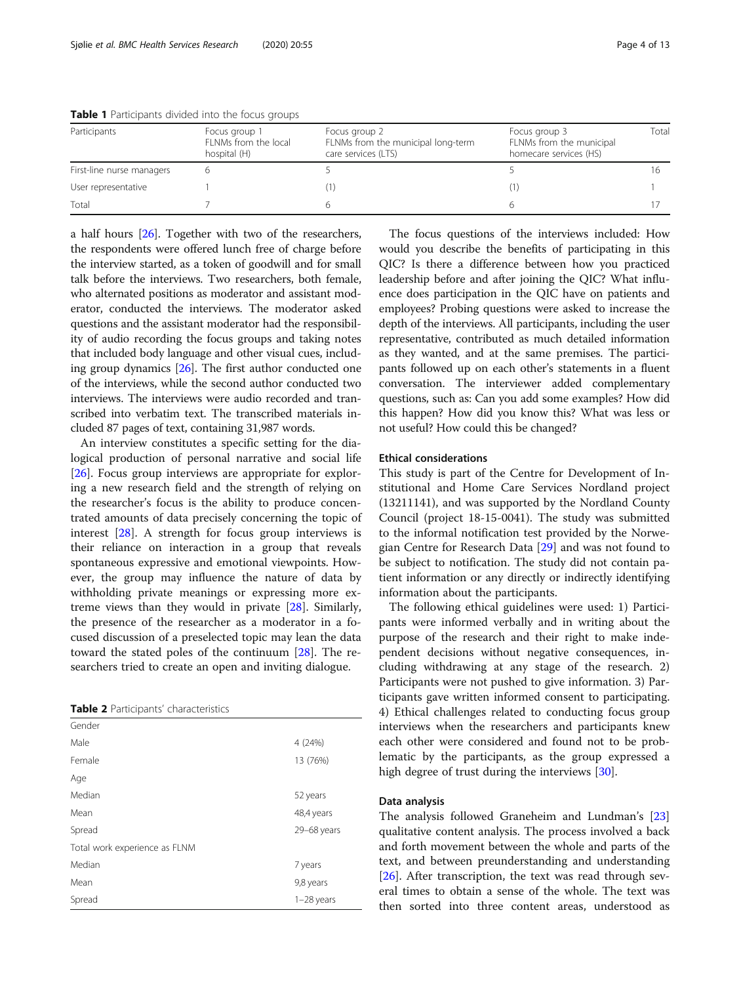| Participants              | Focus group 1<br>FLNMs from the local<br>hospital (H) | Focus group 2<br>FLNMs from the municipal long-term<br>care services (LTS) | Focus group 3<br>FLNMs from the municipal<br>homecare services (HS) | Total |
|---------------------------|-------------------------------------------------------|----------------------------------------------------------------------------|---------------------------------------------------------------------|-------|
| First-line nurse managers |                                                       |                                                                            |                                                                     |       |
| User representative       |                                                       |                                                                            |                                                                     |       |
| Total                     |                                                       |                                                                            |                                                                     |       |

<span id="page-3-0"></span>Table 1 Participants divided into the focus groups

a half hours [\[26\]](#page-12-0). Together with two of the researchers, the respondents were offered lunch free of charge before the interview started, as a token of goodwill and for small talk before the interviews. Two researchers, both female, who alternated positions as moderator and assistant moderator, conducted the interviews. The moderator asked questions and the assistant moderator had the responsibility of audio recording the focus groups and taking notes that included body language and other visual cues, including group dynamics [[26](#page-12-0)]. The first author conducted one of the interviews, while the second author conducted two interviews. The interviews were audio recorded and transcribed into verbatim text. The transcribed materials included 87 pages of text, containing 31,987 words.

An interview constitutes a specific setting for the dialogical production of personal narrative and social life [[26\]](#page-12-0). Focus group interviews are appropriate for exploring a new research field and the strength of relying on the researcher's focus is the ability to produce concentrated amounts of data precisely concerning the topic of interest [\[28](#page-12-0)]. A strength for focus group interviews is their reliance on interaction in a group that reveals spontaneous expressive and emotional viewpoints. However, the group may influence the nature of data by withholding private meanings or expressing more extreme views than they would in private [[28\]](#page-12-0). Similarly, the presence of the researcher as a moderator in a focused discussion of a preselected topic may lean the data toward the stated poles of the continuum [[28](#page-12-0)]. The researchers tried to create an open and inviting dialogue.

Table 2 Participants' characteristics

| Gender                        |              |
|-------------------------------|--------------|
| Male                          | 4(24%)       |
| Female                        | 13 (76%)     |
| Age                           |              |
| Median                        | 52 years     |
| Mean                          | 48,4 years   |
| Spread                        | 29-68 years  |
| Total work experience as FLNM |              |
| Median                        | 7 years      |
| Mean                          | 9,8 years    |
| Spread                        | $1-28$ years |

The focus questions of the interviews included: How would you describe the benefits of participating in this QIC? Is there a difference between how you practiced leadership before and after joining the QIC? What influence does participation in the QIC have on patients and employees? Probing questions were asked to increase the depth of the interviews. All participants, including the user representative, contributed as much detailed information as they wanted, and at the same premises. The participants followed up on each other's statements in a fluent conversation. The interviewer added complementary questions, such as: Can you add some examples? How did this happen? How did you know this? What was less or not useful? How could this be changed?

### Ethical considerations

This study is part of the Centre for Development of Institutional and Home Care Services Nordland project (13211141), and was supported by the Nordland County Council (project 18-15-0041). The study was submitted to the informal notification test provided by the Norwegian Centre for Research Data [[29\]](#page-12-0) and was not found to be subject to notification. The study did not contain patient information or any directly or indirectly identifying information about the participants.

The following ethical guidelines were used: 1) Participants were informed verbally and in writing about the purpose of the research and their right to make independent decisions without negative consequences, including withdrawing at any stage of the research. 2) Participants were not pushed to give information. 3) Participants gave written informed consent to participating. 4) Ethical challenges related to conducting focus group interviews when the researchers and participants knew each other were considered and found not to be problematic by the participants, as the group expressed a high degree of trust during the interviews [\[30](#page-12-0)].

#### Data analysis

The analysis followed Graneheim and Lundman's [[23](#page-12-0)] qualitative content analysis. The process involved a back and forth movement between the whole and parts of the text, and between preunderstanding and understanding [[26\]](#page-12-0). After transcription, the text was read through several times to obtain a sense of the whole. The text was then sorted into three content areas, understood as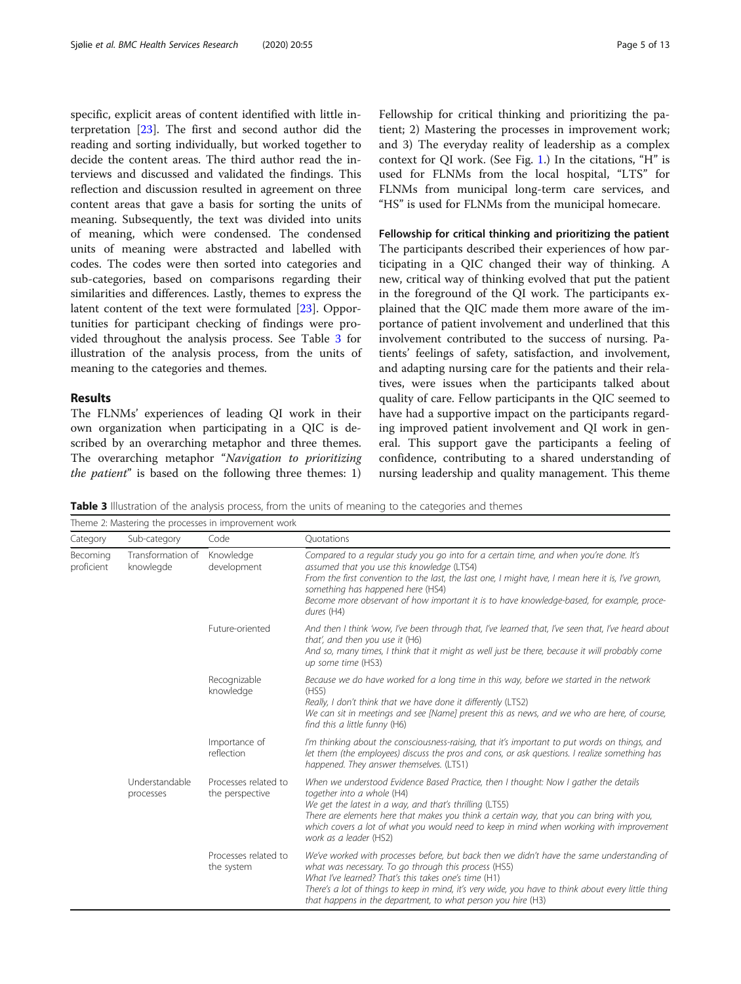specific, explicit areas of content identified with little interpretation [\[23\]](#page-12-0). The first and second author did the reading and sorting individually, but worked together to decide the content areas. The third author read the interviews and discussed and validated the findings. This reflection and discussion resulted in agreement on three content areas that gave a basis for sorting the units of meaning. Subsequently, the text was divided into units of meaning, which were condensed. The condensed units of meaning were abstracted and labelled with codes. The codes were then sorted into categories and sub-categories, based on comparisons regarding their similarities and differences. Lastly, themes to express the latent content of the text were formulated [\[23\]](#page-12-0). Opportunities for participant checking of findings were provided throughout the analysis process. See Table 3 for illustration of the analysis process, from the units of meaning to the categories and themes.

## Results

The FLNMs' experiences of leading QI work in their own organization when participating in a QIC is described by an overarching metaphor and three themes. The overarching metaphor "Navigation to prioritizing the patient" is based on the following three themes: 1)

Fellowship for critical thinking and prioritizing the patient; 2) Mastering the processes in improvement work; and 3) The everyday reality of leadership as a complex context for QI work. (See Fig. [1](#page-5-0).) In the citations, "H" is used for FLNMs from the local hospital, "LTS" for FLNMs from municipal long-term care services, and "HS" is used for FLNMs from the municipal homecare.

#### Fellowship for critical thinking and prioritizing the patient

The participants described their experiences of how participating in a QIC changed their way of thinking. A new, critical way of thinking evolved that put the patient in the foreground of the QI work. The participants explained that the QIC made them more aware of the importance of patient involvement and underlined that this involvement contributed to the success of nursing. Patients' feelings of safety, satisfaction, and involvement, and adapting nursing care for the patients and their relatives, were issues when the participants talked about quality of care. Fellow participants in the QIC seemed to have had a supportive impact on the participants regarding improved patient involvement and QI work in general. This support gave the participants a feeling of confidence, contributing to a shared understanding of nursing leadership and quality management. This theme

Table 3 Illustration of the analysis process, from the units of meaning to the categories and themes

| Theme 2: Mastering the processes in improvement work |                                |                                         |                                                                                                                                                                                                                                                                                                                                                                                                |  |  |
|------------------------------------------------------|--------------------------------|-----------------------------------------|------------------------------------------------------------------------------------------------------------------------------------------------------------------------------------------------------------------------------------------------------------------------------------------------------------------------------------------------------------------------------------------------|--|--|
| Category                                             | Sub-category                   | Code                                    | Quotations                                                                                                                                                                                                                                                                                                                                                                                     |  |  |
| Becoming<br>proficient                               | Transformation of<br>knowlegde | Knowledge<br>development                | Compared to a regular study you go into for a certain time, and when you're done. It's<br>assumed that you use this knowledge (LTS4)<br>From the first convention to the last, the last one, I might have, I mean here it is, I've grown,<br>something has happened here (HS4)<br>Become more observant of how important it is to have knowledge-based, for example, proce-<br>dures (H4)      |  |  |
|                                                      |                                | Future-oriented                         | And then I think 'wow, I've been through that, I've learned that, I've seen that, I've heard about<br>that', and then you use it (H6)<br>And so, many times, I think that it might as well just be there, because it will probably come<br>up some time (HS3)                                                                                                                                  |  |  |
|                                                      |                                | Recognizable<br>knowledge               | Because we do have worked for a long time in this way, before we started in the network<br>(HSS)<br>Really, I don't think that we have done it differently (LTS2)<br>We can sit in meetings and see [Name] present this as news, and we who are here, of course,<br>find this a little funny (H6)                                                                                              |  |  |
|                                                      |                                | Importance of<br>reflection             | I'm thinking about the consciousness-raising, that it's important to put words on things, and<br>let them (the employees) discuss the pros and cons, or ask questions. I realize something has<br>happened. They answer themselves. (LTS1)                                                                                                                                                     |  |  |
|                                                      | Understandable<br>processes    | Processes related to<br>the perspective | When we understood Evidence Based Practice, then I thought: Now I gather the details<br>together into a whole (H4)<br>We get the latest in a way, and that's thrilling (LTS5)<br>There are elements here that makes you think a certain way, that you can bring with you,<br>which covers a lot of what you would need to keep in mind when working with improvement<br>work as a leader (HS2) |  |  |
|                                                      |                                | Processes related to<br>the system      | We've worked with processes before, but back then we didn't have the same understanding of<br>what was necessary. To go through this process (HS5)<br>What I've learned? That's this takes one's time (H1)<br>There's a lot of things to keep in mind, it's very wide, you have to think about every little thing<br>that happens in the department, to what person you hire (H3)              |  |  |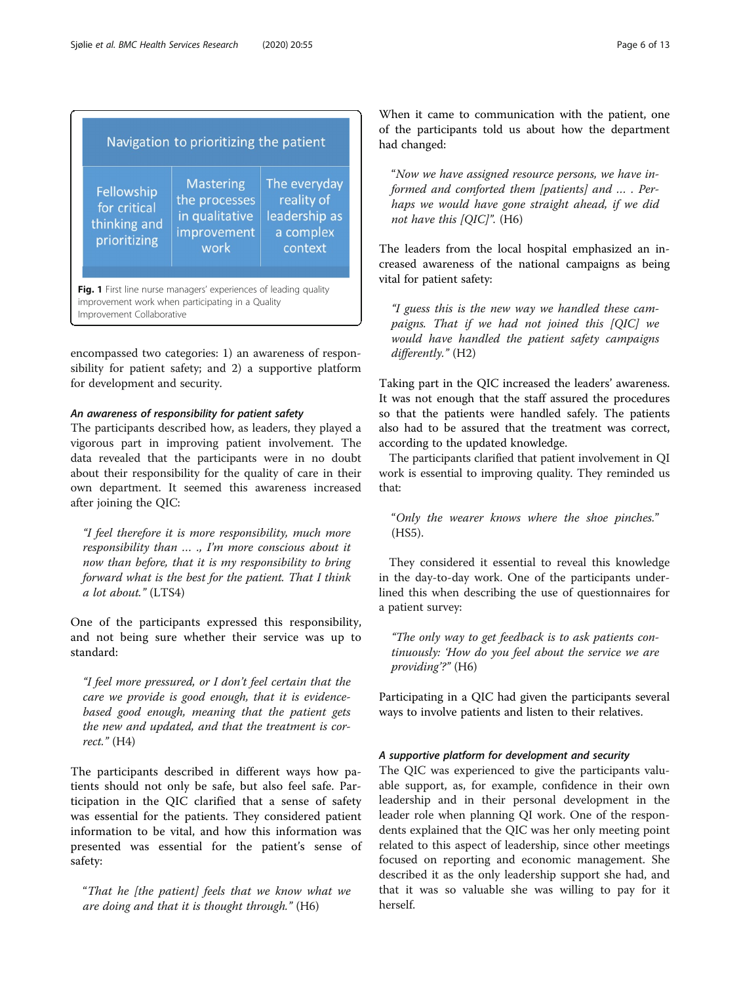<span id="page-5-0"></span>

|                                                                                                                                                          | Navigation to prioritizing the patient                     |                                                                            |                                                                     |  |  |  |
|----------------------------------------------------------------------------------------------------------------------------------------------------------|------------------------------------------------------------|----------------------------------------------------------------------------|---------------------------------------------------------------------|--|--|--|
|                                                                                                                                                          | Fellowship<br>for critical<br>thinking and<br>prioritizing | <b>Mastering</b><br>the processes<br>in qualitative<br>improvement<br>work | The everyday<br>reality of<br>leadership as<br>a complex<br>context |  |  |  |
|                                                                                                                                                          |                                                            |                                                                            |                                                                     |  |  |  |
| <b>Fig. 1</b> First line nurse managers' experiences of leading quality<br>improvement work when participating in a Quality<br>Improvement Collaborative |                                                            |                                                                            |                                                                     |  |  |  |

encompassed two categories: 1) an awareness of responsibility for patient safety; and 2) a supportive platform for development and security.

## An awareness of responsibility for patient safety

The participants described how, as leaders, they played a vigorous part in improving patient involvement. The data revealed that the participants were in no doubt about their responsibility for the quality of care in their own department. It seemed this awareness increased after joining the QIC:

"I feel therefore it is more responsibility, much more responsibility than … ., I'm more conscious about it now than before, that it is my responsibility to bring forward what is the best for the patient. That I think a lot about." (LTS4)

One of the participants expressed this responsibility, and not being sure whether their service was up to standard:

"I feel more pressured, or I don't feel certain that the care we provide is good enough, that it is evidencebased good enough, meaning that the patient gets the new and updated, and that the treatment is correct." (H4)

The participants described in different ways how patients should not only be safe, but also feel safe. Participation in the QIC clarified that a sense of safety was essential for the patients. They considered patient information to be vital, and how this information was presented was essential for the patient's sense of safety:

"That he [the patient] feels that we know what we are doing and that it is thought through." (H6)

When it came to communication with the patient, one of the participants told us about how the department had changed:

"Now we have assigned resource persons, we have informed and comforted them [patients] and … . Perhaps we would have gone straight ahead, if we did not have this [QIC]". (H6)

The leaders from the local hospital emphasized an increased awareness of the national campaigns as being vital for patient safety:

"I guess this is the new way we handled these campaigns. That if we had not joined this [QIC] we would have handled the patient safety campaigns differently." (H2)

Taking part in the QIC increased the leaders' awareness. It was not enough that the staff assured the procedures so that the patients were handled safely. The patients also had to be assured that the treatment was correct, according to the updated knowledge.

The participants clarified that patient involvement in QI work is essential to improving quality. They reminded us that:

"Only the wearer knows where the shoe pinches." (HS5).

They considered it essential to reveal this knowledge in the day-to-day work. One of the participants underlined this when describing the use of questionnaires for a patient survey:

"The only way to get feedback is to ask patients continuously: 'How do you feel about the service we are providing'?" (H6)

Participating in a QIC had given the participants several ways to involve patients and listen to their relatives.

## A supportive platform for development and security

The QIC was experienced to give the participants valuable support, as, for example, confidence in their own leadership and in their personal development in the leader role when planning QI work. One of the respondents explained that the QIC was her only meeting point related to this aspect of leadership, since other meetings focused on reporting and economic management. She described it as the only leadership support she had, and that it was so valuable she was willing to pay for it herself.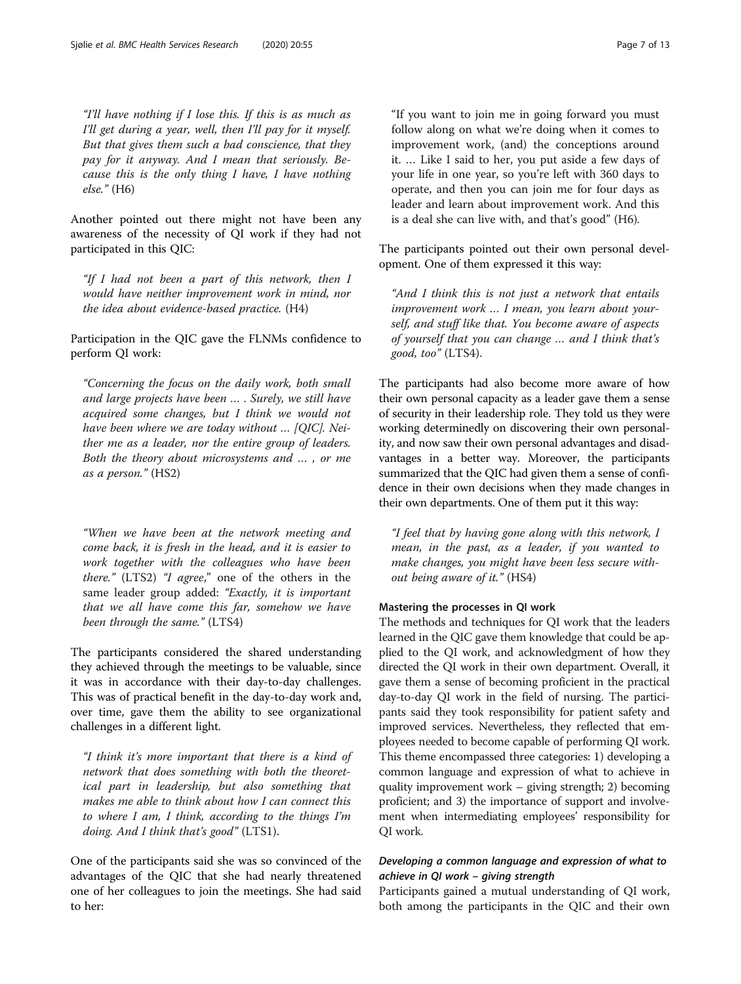"I'll have nothing if I lose this. If this is as much as I'll get during a year, well, then I'll pay for it myself. But that gives them such a bad conscience, that they pay for it anyway. And I mean that seriously. Because this is the only thing I have, I have nothing else." (H6)

Another pointed out there might not have been any awareness of the necessity of QI work if they had not participated in this QIC:

"If I had not been a part of this network, then I would have neither improvement work in mind, nor the idea about evidence-based practice. (H4)

Participation in the QIC gave the FLNMs confidence to perform QI work:

"Concerning the focus on the daily work, both small and large projects have been … . Surely, we still have acquired some changes, but I think we would not have been where we are today without … [QIC]. Neither me as a leader, nor the entire group of leaders. Both the theory about microsystems and … , or me as a person." (HS2)

"When we have been at the network meeting and come back, it is fresh in the head, and it is easier to work together with the colleagues who have been there." (LTS2) "I agree," one of the others in the same leader group added: "Exactly, it is important that we all have come this far, somehow we have been through the same." (LTS4)

The participants considered the shared understanding they achieved through the meetings to be valuable, since it was in accordance with their day-to-day challenges. This was of practical benefit in the day-to-day work and, over time, gave them the ability to see organizational challenges in a different light.

"I think it's more important that there is a kind of network that does something with both the theoretical part in leadership, but also something that makes me able to think about how I can connect this to where I am, I think, according to the things I'm doing. And I think that's good" (LTS1).

One of the participants said she was so convinced of the advantages of the QIC that she had nearly threatened one of her colleagues to join the meetings. She had said to her:

"If you want to join me in going forward you must follow along on what we're doing when it comes to improvement work, (and) the conceptions around it. … Like I said to her, you put aside a few days of your life in one year, so you're left with 360 days to operate, and then you can join me for four days as leader and learn about improvement work. And this is a deal she can live with, and that's good" (H6).

The participants pointed out their own personal development. One of them expressed it this way:

"And I think this is not just a network that entails improvement work … I mean, you learn about yourself, and stuff like that. You become aware of aspects of yourself that you can change … and I think that's good, too" (LTS4).

The participants had also become more aware of how their own personal capacity as a leader gave them a sense of security in their leadership role. They told us they were working determinedly on discovering their own personality, and now saw their own personal advantages and disadvantages in a better way. Moreover, the participants summarized that the QIC had given them a sense of confidence in their own decisions when they made changes in their own departments. One of them put it this way:

"I feel that by having gone along with this network, I mean, in the past, as a leader, if you wanted to make changes, you might have been less secure without being aware of it." (HS4)

### Mastering the processes in QI work

The methods and techniques for QI work that the leaders learned in the QIC gave them knowledge that could be applied to the QI work, and acknowledgment of how they directed the QI work in their own department. Overall, it gave them a sense of becoming proficient in the practical day-to-day QI work in the field of nursing. The participants said they took responsibility for patient safety and improved services. Nevertheless, they reflected that employees needed to become capable of performing QI work. This theme encompassed three categories: 1) developing a common language and expression of what to achieve in quality improvement work – giving strength; 2) becoming proficient; and 3) the importance of support and involvement when intermediating employees' responsibility for QI work.

## Developing a common language and expression of what to achieve in QI work – giving strength

Participants gained a mutual understanding of QI work, both among the participants in the QIC and their own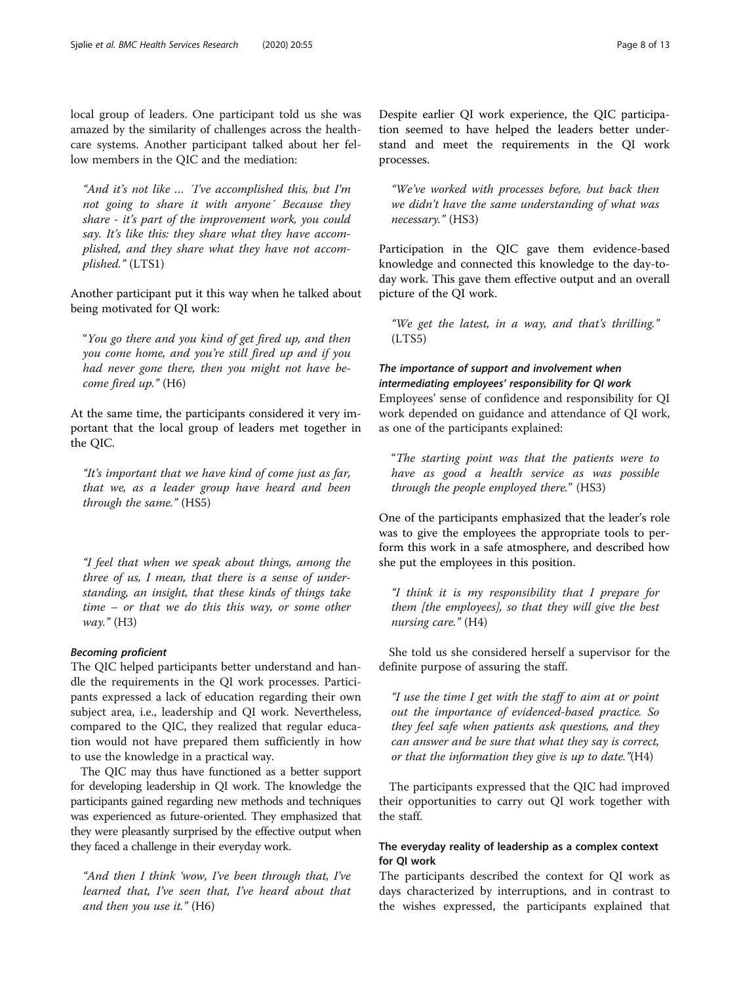local group of leaders. One participant told us she was amazed by the similarity of challenges across the healthcare systems. Another participant talked about her fellow members in the QIC and the mediation:

"And it's not like … ´I've accomplished this, but I'm not going to share it with anyone´ Because they share - it's part of the improvement work, you could say. It's like this: they share what they have accomplished, and they share what they have not accomplished." (LTS1)

Another participant put it this way when he talked about being motivated for QI work:

"You go there and you kind of get fired up, and then you come home, and you're still fired up and if you had never gone there, then you might not have become fired up." (H6)

At the same time, the participants considered it very important that the local group of leaders met together in the QIC.

"It's important that we have kind of come just as far, that we, as a leader group have heard and been through the same." (HS5)

"I feel that when we speak about things, among the three of us, I mean, that there is a sense of understanding, an insight, that these kinds of things take time – or that we do this this way, or some other way." (H3)

#### Becoming proficient

The QIC helped participants better understand and handle the requirements in the QI work processes. Participants expressed a lack of education regarding their own subject area, i.e., leadership and QI work. Nevertheless, compared to the QIC, they realized that regular education would not have prepared them sufficiently in how to use the knowledge in a practical way.

The QIC may thus have functioned as a better support for developing leadership in QI work. The knowledge the participants gained regarding new methods and techniques was experienced as future-oriented. They emphasized that they were pleasantly surprised by the effective output when they faced a challenge in their everyday work.

"And then I think 'wow, I've been through that, I've learned that, I've seen that, I've heard about that and then you use it." (H6)

Despite earlier QI work experience, the QIC participation seemed to have helped the leaders better understand and meet the requirements in the QI work processes.

"We've worked with processes before, but back then we didn't have the same understanding of what was necessary." (HS3)

Participation in the QIC gave them evidence-based knowledge and connected this knowledge to the day-today work. This gave them effective output and an overall picture of the QI work.

"We get the latest, in a way, and that's thrilling." (LTS5)

## The importance of support and involvement when intermediating employees' responsibility for QI work

Employees' sense of confidence and responsibility for QI work depended on guidance and attendance of QI work, as one of the participants explained:

"The starting point was that the patients were to have as good a health service as was possible through the people employed there." (HS3)

One of the participants emphasized that the leader's role was to give the employees the appropriate tools to perform this work in a safe atmosphere, and described how she put the employees in this position.

"I think it is my responsibility that I prepare for them [the employees], so that they will give the best nursing care." (H4)

She told us she considered herself a supervisor for the definite purpose of assuring the staff.

"I use the time I get with the staff to aim at or point out the importance of evidenced-based practice. So they feel safe when patients ask questions, and they can answer and be sure that what they say is correct, or that the information they give is up to date."(H4)

The participants expressed that the QIC had improved their opportunities to carry out QI work together with the staff.

## The everyday reality of leadership as a complex context for QI work

The participants described the context for QI work as days characterized by interruptions, and in contrast to the wishes expressed, the participants explained that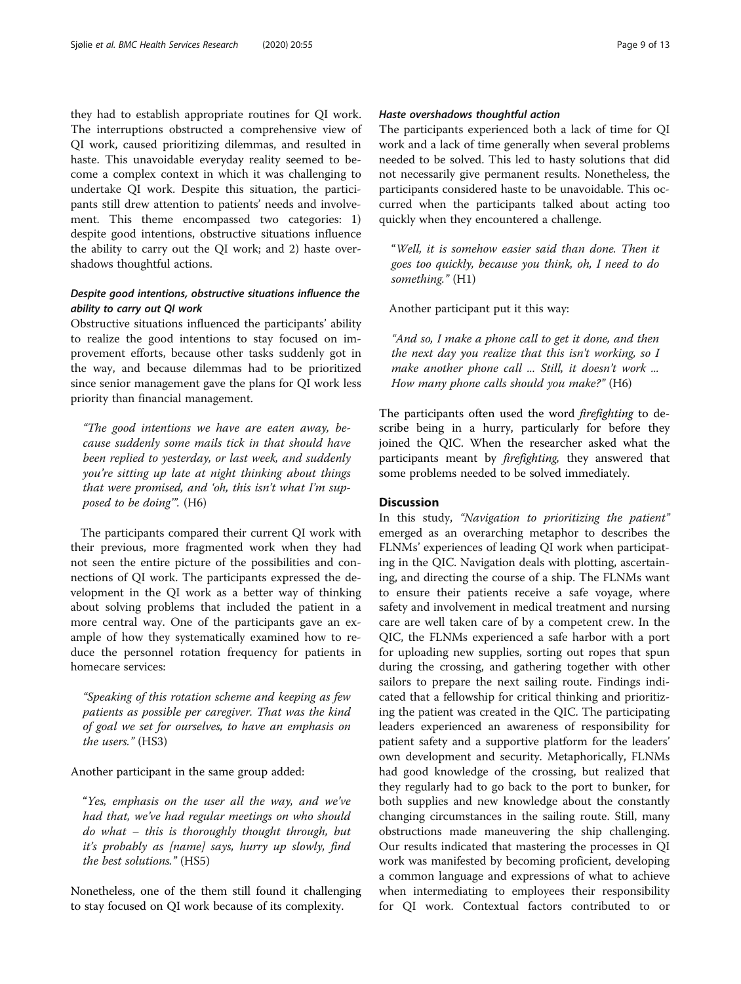they had to establish appropriate routines for QI work. The interruptions obstructed a comprehensive view of QI work, caused prioritizing dilemmas, and resulted in haste. This unavoidable everyday reality seemed to become a complex context in which it was challenging to undertake QI work. Despite this situation, the participants still drew attention to patients' needs and involvement. This theme encompassed two categories: 1) despite good intentions, obstructive situations influence the ability to carry out the QI work; and 2) haste overshadows thoughtful actions.

## Despite good intentions, obstructive situations influence the ability to carry out QI work

Obstructive situations influenced the participants' ability to realize the good intentions to stay focused on improvement efforts, because other tasks suddenly got in the way, and because dilemmas had to be prioritized since senior management gave the plans for QI work less priority than financial management.

"The good intentions we have are eaten away, because suddenly some mails tick in that should have been replied to yesterday, or last week, and suddenly you're sitting up late at night thinking about things that were promised, and 'oh, this isn't what I'm supposed to be doing'". (H6)

The participants compared their current QI work with their previous, more fragmented work when they had not seen the entire picture of the possibilities and connections of QI work. The participants expressed the development in the QI work as a better way of thinking about solving problems that included the patient in a more central way. One of the participants gave an example of how they systematically examined how to reduce the personnel rotation frequency for patients in homecare services:

"Speaking of this rotation scheme and keeping as few patients as possible per caregiver. That was the kind of goal we set for ourselves, to have an emphasis on the users." (HS3)

Another participant in the same group added:

"Yes, emphasis on the user all the way, and we've had that, we've had regular meetings on who should do what – this is thoroughly thought through, but it's probably as [name] says, hurry up slowly, find the best solutions." (HS5)

Nonetheless, one of the them still found it challenging to stay focused on QI work because of its complexity.

## Haste overshadows thoughtful action

The participants experienced both a lack of time for QI work and a lack of time generally when several problems needed to be solved. This led to hasty solutions that did not necessarily give permanent results. Nonetheless, the participants considered haste to be unavoidable. This occurred when the participants talked about acting too quickly when they encountered a challenge.

"Well, it is somehow easier said than done. Then it goes too quickly, because you think, oh, I need to do something." (H1)

Another participant put it this way:

"And so, I make a phone call to get it done, and then the next day you realize that this isn't working, so I make another phone call ... Still, it doesn't work ... How many phone calls should you make?" (H6)

The participants often used the word *firefighting* to describe being in a hurry, particularly for before they joined the QIC. When the researcher asked what the participants meant by firefighting, they answered that some problems needed to be solved immediately.

## **Discussion**

In this study, "Navigation to prioritizing the patient" emerged as an overarching metaphor to describes the FLNMs' experiences of leading QI work when participating in the QIC. Navigation deals with plotting, ascertaining, and directing the course of a ship. The FLNMs want to ensure their patients receive a safe voyage, where safety and involvement in medical treatment and nursing care are well taken care of by a competent crew. In the QIC, the FLNMs experienced a safe harbor with a port for uploading new supplies, sorting out ropes that spun during the crossing, and gathering together with other sailors to prepare the next sailing route. Findings indicated that a fellowship for critical thinking and prioritizing the patient was created in the QIC. The participating leaders experienced an awareness of responsibility for patient safety and a supportive platform for the leaders' own development and security. Metaphorically, FLNMs had good knowledge of the crossing, but realized that they regularly had to go back to the port to bunker, for both supplies and new knowledge about the constantly changing circumstances in the sailing route. Still, many obstructions made maneuvering the ship challenging. Our results indicated that mastering the processes in QI work was manifested by becoming proficient, developing a common language and expressions of what to achieve when intermediating to employees their responsibility for QI work. Contextual factors contributed to or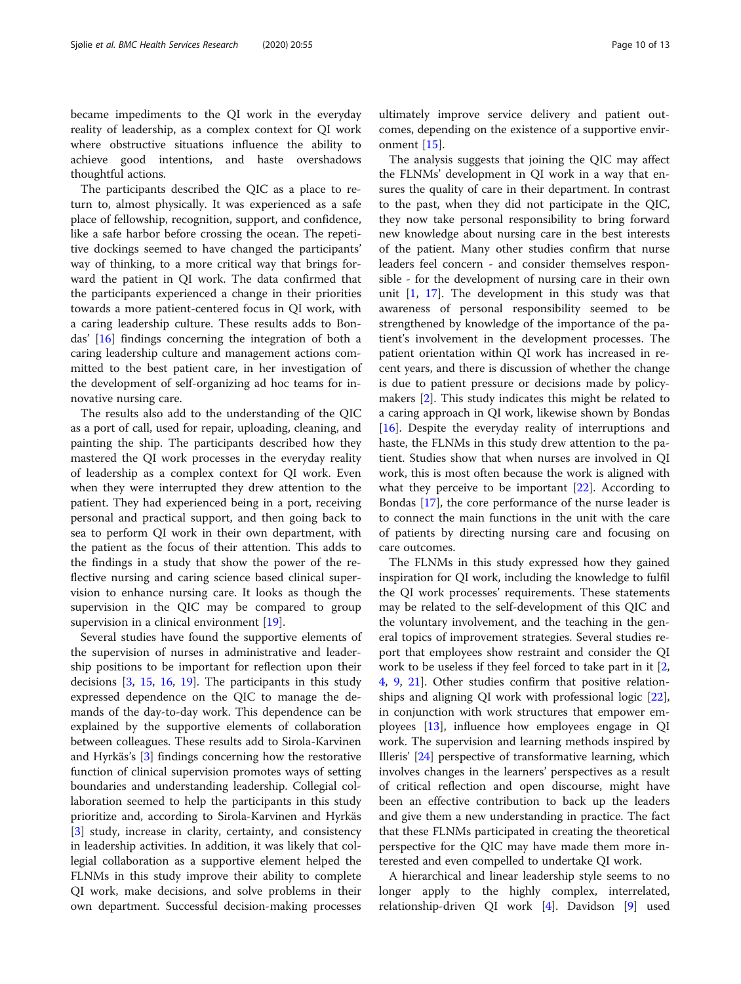became impediments to the QI work in the everyday reality of leadership, as a complex context for QI work where obstructive situations influence the ability to achieve good intentions, and haste overshadows thoughtful actions.

The participants described the QIC as a place to return to, almost physically. It was experienced as a safe place of fellowship, recognition, support, and confidence, like a safe harbor before crossing the ocean. The repetitive dockings seemed to have changed the participants' way of thinking, to a more critical way that brings forward the patient in QI work. The data confirmed that the participants experienced a change in their priorities towards a more patient-centered focus in QI work, with a caring leadership culture. These results adds to Bondas' [[16\]](#page-12-0) findings concerning the integration of both a caring leadership culture and management actions committed to the best patient care, in her investigation of the development of self-organizing ad hoc teams for innovative nursing care.

The results also add to the understanding of the QIC as a port of call, used for repair, uploading, cleaning, and painting the ship. The participants described how they mastered the QI work processes in the everyday reality of leadership as a complex context for QI work. Even when they were interrupted they drew attention to the patient. They had experienced being in a port, receiving personal and practical support, and then going back to sea to perform QI work in their own department, with the patient as the focus of their attention. This adds to the findings in a study that show the power of the reflective nursing and caring science based clinical supervision to enhance nursing care. It looks as though the supervision in the QIC may be compared to group supervision in a clinical environment [\[19](#page-12-0)].

Several studies have found the supportive elements of the supervision of nurses in administrative and leadership positions to be important for reflection upon their decisions [\[3](#page-11-0), [15,](#page-12-0) [16,](#page-12-0) [19\]](#page-12-0). The participants in this study expressed dependence on the QIC to manage the demands of the day-to-day work. This dependence can be explained by the supportive elements of collaboration between colleagues. These results add to Sirola-Karvinen and Hyrkäs's [[3\]](#page-11-0) findings concerning how the restorative function of clinical supervision promotes ways of setting boundaries and understanding leadership. Collegial collaboration seemed to help the participants in this study prioritize and, according to Sirola-Karvinen and Hyrkäs [[3\]](#page-11-0) study, increase in clarity, certainty, and consistency in leadership activities. In addition, it was likely that collegial collaboration as a supportive element helped the FLNMs in this study improve their ability to complete QI work, make decisions, and solve problems in their own department. Successful decision-making processes

ultimately improve service delivery and patient outcomes, depending on the existence of a supportive environment [[15](#page-12-0)].

The analysis suggests that joining the QIC may affect the FLNMs' development in QI work in a way that ensures the quality of care in their department. In contrast to the past, when they did not participate in the QIC, they now take personal responsibility to bring forward new knowledge about nursing care in the best interests of the patient. Many other studies confirm that nurse leaders feel concern - and consider themselves responsible - for the development of nursing care in their own unit  $\left[1, 17\right]$  $\left[1, 17\right]$  $\left[1, 17\right]$ . The development in this study was that awareness of personal responsibility seemed to be strengthened by knowledge of the importance of the patient's involvement in the development processes. The patient orientation within QI work has increased in recent years, and there is discussion of whether the change is due to patient pressure or decisions made by policymakers [[2\]](#page-11-0). This study indicates this might be related to a caring approach in QI work, likewise shown by Bondas [[16\]](#page-12-0). Despite the everyday reality of interruptions and haste, the FLNMs in this study drew attention to the patient. Studies show that when nurses are involved in QI work, this is most often because the work is aligned with what they perceive to be important [[22\]](#page-12-0). According to Bondas [[17\]](#page-12-0), the core performance of the nurse leader is to connect the main functions in the unit with the care of patients by directing nursing care and focusing on care outcomes.

The FLNMs in this study expressed how they gained inspiration for QI work, including the knowledge to fulfil the QI work processes' requirements. These statements may be related to the self-development of this QIC and the voluntary involvement, and the teaching in the general topics of improvement strategies. Several studies report that employees show restraint and consider the QI work to be useless if they feel forced to take part in it [\[2](#page-11-0), [4,](#page-11-0) [9](#page-12-0), [21](#page-12-0)]. Other studies confirm that positive relationships and aligning QI work with professional logic [\[22](#page-12-0)], in conjunction with work structures that empower employees [[13\]](#page-12-0), influence how employees engage in QI work. The supervision and learning methods inspired by Illeris' [[24\]](#page-12-0) perspective of transformative learning, which involves changes in the learners' perspectives as a result of critical reflection and open discourse, might have been an effective contribution to back up the leaders and give them a new understanding in practice. The fact that these FLNMs participated in creating the theoretical perspective for the QIC may have made them more interested and even compelled to undertake QI work.

A hierarchical and linear leadership style seems to no longer apply to the highly complex, interrelated, relationship-driven QI work [[4](#page-11-0)]. Davidson [[9](#page-12-0)] used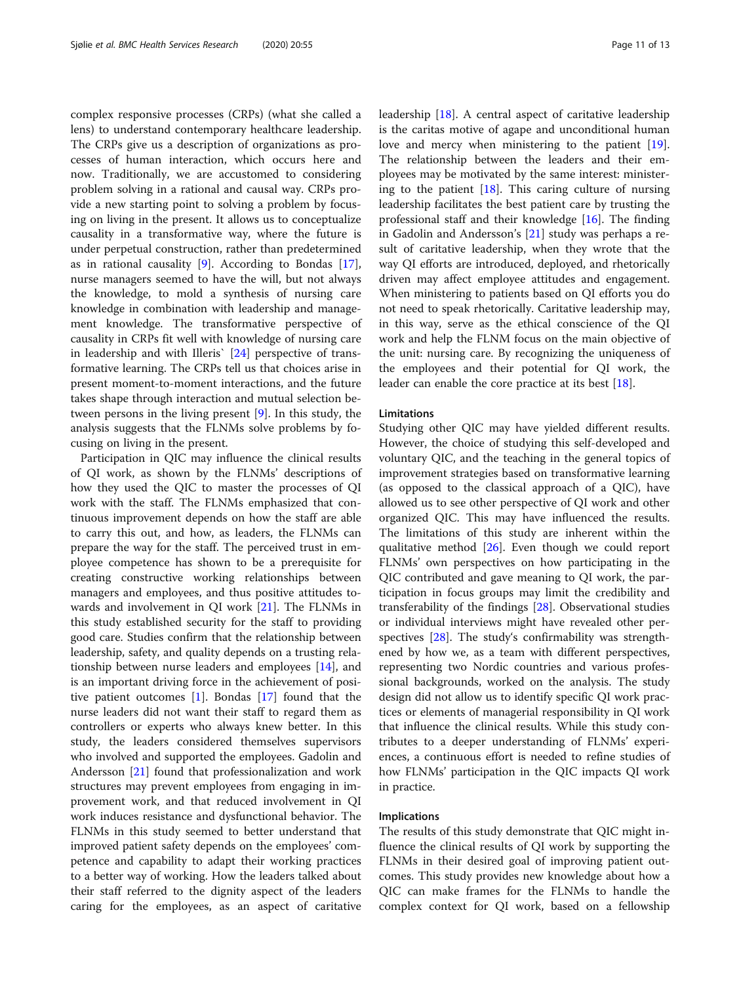complex responsive processes (CRPs) (what she called a lens) to understand contemporary healthcare leadership. The CRPs give us a description of organizations as processes of human interaction, which occurs here and now. Traditionally, we are accustomed to considering problem solving in a rational and causal way. CRPs provide a new starting point to solving a problem by focusing on living in the present. It allows us to conceptualize causality in a transformative way, where the future is under perpetual construction, rather than predetermined as in rational causality [[9\]](#page-12-0). According to Bondas [\[17](#page-12-0)], nurse managers seemed to have the will, but not always the knowledge, to mold a synthesis of nursing care knowledge in combination with leadership and management knowledge. The transformative perspective of causality in CRPs fit well with knowledge of nursing care in leadership and with Illeris` [\[24](#page-12-0)] perspective of transformative learning. The CRPs tell us that choices arise in present moment-to-moment interactions, and the future takes shape through interaction and mutual selection between persons in the living present [\[9](#page-12-0)]. In this study, the analysis suggests that the FLNMs solve problems by focusing on living in the present.

Participation in QIC may influence the clinical results of QI work, as shown by the FLNMs' descriptions of how they used the QIC to master the processes of QI work with the staff. The FLNMs emphasized that continuous improvement depends on how the staff are able to carry this out, and how, as leaders, the FLNMs can prepare the way for the staff. The perceived trust in employee competence has shown to be a prerequisite for creating constructive working relationships between managers and employees, and thus positive attitudes towards and involvement in QI work [[21](#page-12-0)]. The FLNMs in this study established security for the staff to providing good care. Studies confirm that the relationship between leadership, safety, and quality depends on a trusting relationship between nurse leaders and employees [[14\]](#page-12-0), and is an important driving force in the achievement of positive patient outcomes  $[1]$  $[1]$ . Bondas  $[17]$  $[17]$  found that the nurse leaders did not want their staff to regard them as controllers or experts who always knew better. In this study, the leaders considered themselves supervisors who involved and supported the employees. Gadolin and Andersson [\[21](#page-12-0)] found that professionalization and work structures may prevent employees from engaging in improvement work, and that reduced involvement in QI work induces resistance and dysfunctional behavior. The FLNMs in this study seemed to better understand that improved patient safety depends on the employees' competence and capability to adapt their working practices to a better way of working. How the leaders talked about their staff referred to the dignity aspect of the leaders caring for the employees, as an aspect of caritative leadership [\[18](#page-12-0)]. A central aspect of caritative leadership is the caritas motive of agape and unconditional human love and mercy when ministering to the patient [\[19](#page-12-0)]. The relationship between the leaders and their employees may be motivated by the same interest: ministering to the patient  $[18]$  $[18]$ . This caring culture of nursing leadership facilitates the best patient care by trusting the professional staff and their knowledge  $[16]$  $[16]$ . The finding in Gadolin and Andersson's [\[21](#page-12-0)] study was perhaps a result of caritative leadership, when they wrote that the way QI efforts are introduced, deployed, and rhetorically driven may affect employee attitudes and engagement. When ministering to patients based on QI efforts you do not need to speak rhetorically. Caritative leadership may, in this way, serve as the ethical conscience of the QI work and help the FLNM focus on the main objective of the unit: nursing care. By recognizing the uniqueness of the employees and their potential for QI work, the leader can enable the core practice at its best [[18\]](#page-12-0).

#### Limitations

Studying other QIC may have yielded different results. However, the choice of studying this self-developed and voluntary QIC, and the teaching in the general topics of improvement strategies based on transformative learning (as opposed to the classical approach of a QIC), have allowed us to see other perspective of QI work and other organized QIC. This may have influenced the results. The limitations of this study are inherent within the qualitative method  $[26]$  $[26]$ . Even though we could report FLNMs' own perspectives on how participating in the QIC contributed and gave meaning to QI work, the participation in focus groups may limit the credibility and transferability of the findings [\[28](#page-12-0)]. Observational studies or individual interviews might have revealed other perspectives [\[28](#page-12-0)]. The study's confirmability was strengthened by how we, as a team with different perspectives, representing two Nordic countries and various professional backgrounds, worked on the analysis. The study design did not allow us to identify specific QI work practices or elements of managerial responsibility in QI work that influence the clinical results. While this study contributes to a deeper understanding of FLNMs' experiences, a continuous effort is needed to refine studies of how FLNMs' participation in the QIC impacts QI work in practice.

#### Implications

The results of this study demonstrate that QIC might influence the clinical results of QI work by supporting the FLNMs in their desired goal of improving patient outcomes. This study provides new knowledge about how a QIC can make frames for the FLNMs to handle the complex context for QI work, based on a fellowship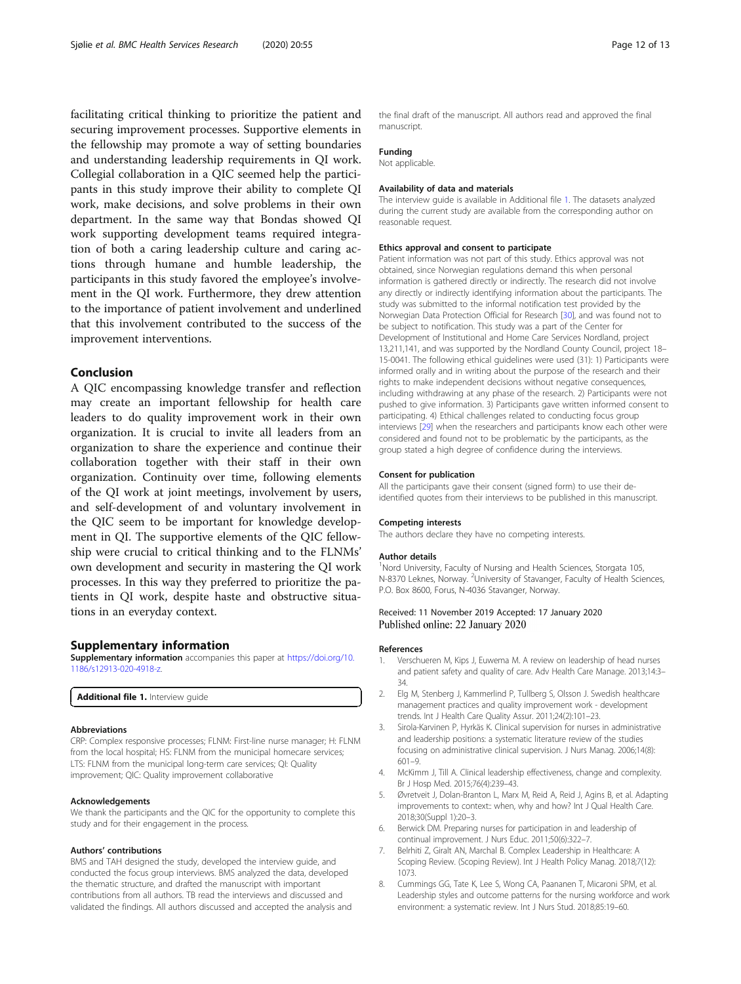<span id="page-11-0"></span>facilitating critical thinking to prioritize the patient and securing improvement processes. Supportive elements in the fellowship may promote a way of setting boundaries and understanding leadership requirements in QI work. Collegial collaboration in a QIC seemed help the participants in this study improve their ability to complete QI work, make decisions, and solve problems in their own department. In the same way that Bondas showed QI work supporting development teams required integration of both a caring leadership culture and caring actions through humane and humble leadership, the participants in this study favored the employee's involvement in the QI work. Furthermore, they drew attention to the importance of patient involvement and underlined that this involvement contributed to the success of the improvement interventions.

## Conclusion

A QIC encompassing knowledge transfer and reflection may create an important fellowship for health care leaders to do quality improvement work in their own organization. It is crucial to invite all leaders from an organization to share the experience and continue their collaboration together with their staff in their own organization. Continuity over time, following elements of the QI work at joint meetings, involvement by users, and self-development of and voluntary involvement in the QIC seem to be important for knowledge development in QI. The supportive elements of the QIC fellowship were crucial to critical thinking and to the FLNMs' own development and security in mastering the QI work processes. In this way they preferred to prioritize the patients in QI work, despite haste and obstructive situations in an everyday context.

#### Supplementary information

Supplementary information accompanies this paper at [https://doi.org/10.](https://doi.org/10.1186/s12913-020-4918-z) [1186/s12913-020-4918-z](https://doi.org/10.1186/s12913-020-4918-z).

Additional file 1. Interview guide

#### Abbreviations

CRP: Complex responsive processes; FLNM: First-line nurse manager; H: FLNM from the local hospital; HS: FLNM from the municipal homecare services; LTS: FLNM from the municipal long-term care services; QI: Quality improvement; QIC: Quality improvement collaborative

#### Acknowledgements

We thank the participants and the QIC for the opportunity to complete this study and for their engagement in the process.

#### Authors' contributions

BMS and TAH designed the study, developed the interview guide, and conducted the focus group interviews. BMS analyzed the data, developed the thematic structure, and drafted the manuscript with important contributions from all authors. TB read the interviews and discussed and validated the findings. All authors discussed and accepted the analysis and the final draft of the manuscript. All authors read and approved the final manuscript.

#### Funding

Not applicable.

#### Availability of data and materials

The interview guide is available in Additional file 1. The datasets analyzed during the current study are available from the corresponding author on reasonable request.

#### Ethics approval and consent to participate

Patient information was not part of this study. Ethics approval was not obtained, since Norwegian regulations demand this when personal information is gathered directly or indirectly. The research did not involve any directly or indirectly identifying information about the participants. The study was submitted to the informal notification test provided by the Norwegian Data Protection Official for Research [[30\]](#page-12-0), and was found not to be subject to notification. This study was a part of the Center for Development of Institutional and Home Care Services Nordland, project 13,211,141, and was supported by the Nordland County Council, project 18– 15-0041. The following ethical guidelines were used (31): 1) Participants were informed orally and in writing about the purpose of the research and their rights to make independent decisions without negative consequences, including withdrawing at any phase of the research. 2) Participants were not pushed to give information. 3) Participants gave written informed consent to participating. 4) Ethical challenges related to conducting focus group interviews [\[29](#page-12-0)] when the researchers and participants know each other were considered and found not to be problematic by the participants, as the group stated a high degree of confidence during the interviews.

#### Consent for publication

All the participants gave their consent (signed form) to use their deidentified quotes from their interviews to be published in this manuscript.

#### Competing interests

The authors declare they have no competing interests.

#### Author details

<sup>1</sup>Nord University, Faculty of Nursing and Health Sciences, Storgata 105, N-8370 Leknes, Norway. <sup>2</sup>University of Stavanger, Faculty of Health Sciences, P.O. Box 8600, Forus, N-4036 Stavanger, Norway.

#### Received: 11 November 2019 Accepted: 17 January 2020 Published online: 22 January 2020

#### References

- 1. Verschueren M, Kips J, Euwema M. A review on leadership of head nurses and patient safety and quality of care. Adv Health Care Manage. 2013;14:3– 34.
- 2. Elg M, Stenberg J, Kammerlind P, Tullberg S, Olsson J. Swedish healthcare management practices and quality improvement work - development trends. Int J Health Care Quality Assur. 2011;24(2):101–23.
- 3. Sirola-Karvinen P, Hyrkäs K. Clinical supervision for nurses in administrative and leadership positions: a systematic literature review of the studies focusing on administrative clinical supervision. J Nurs Manag. 2006;14(8): 601–9.
- 4. McKimm J, Till A. Clinical leadership effectiveness, change and complexity. Br J Hosp Med. 2015;76(4):239–43.
- 5. Øvretveit J, Dolan-Branton L, Marx M, Reid A, Reid J, Agins B, et al. Adapting improvements to context:: when, why and how? Int J Qual Health Care. 2018;30(Suppl 1):20–3.
- 6. Berwick DM. Preparing nurses for participation in and leadership of continual improvement. J Nurs Educ. 2011;50(6):322–7.
- 7. Belrhiti Z, Giralt AN, Marchal B. Complex Leadership in Healthcare: A Scoping Review. (Scoping Review). Int J Health Policy Manag. 2018;7(12): 1073.
- 8. Cummings GG, Tate K, Lee S, Wong CA, Paananen T, Micaroni SPM, et al. Leadership styles and outcome patterns for the nursing workforce and work environment: a systematic review. Int J Nurs Stud. 2018;85:19–60.